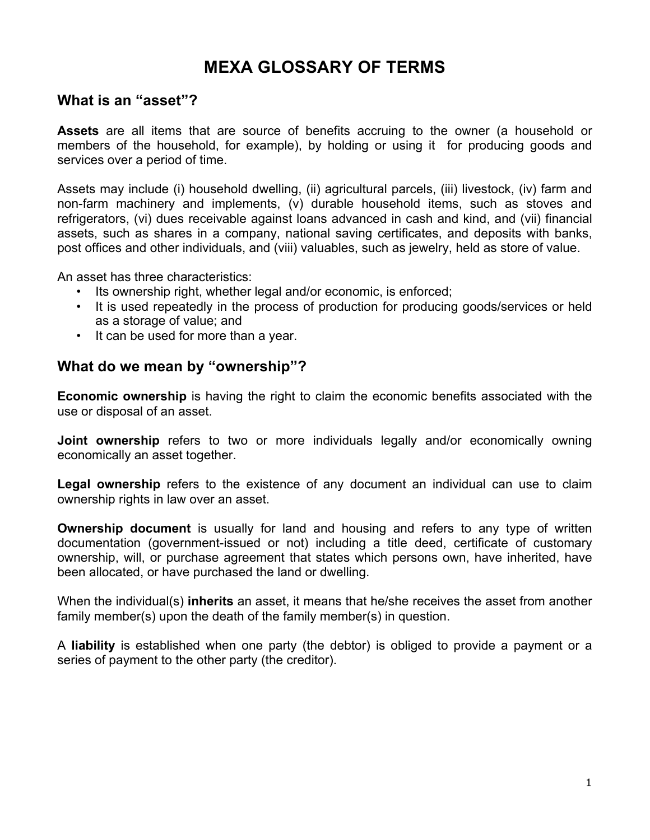# **MEXA GLOSSARY OF TERMS**

### **What is an "asset"?**

**Assets** are all items that are source of benefits accruing to the owner (a household or members of the household, for example), by holding or using it for producing goods and services over a period of time.

Assets may include (i) household dwelling, (ii) agricultural parcels, (iii) livestock, (iv) farm and non-farm machinery and implements, (v) durable household items, such as stoves and refrigerators, (vi) dues receivable against loans advanced in cash and kind, and (vii) financial assets, such as shares in a company, national saving certificates, and deposits with banks, post offices and other individuals, and (viii) valuables, such as jewelry, held as store of value.

An asset has three characteristics:

- Its ownership right, whether legal and/or economic, is enforced;
- It is used repeatedly in the process of production for producing goods/services or held as a storage of value; and
- It can be used for more than a year.

### **What do we mean by "ownership"?**

**Economic ownership** is having the right to claim the economic benefits associated with the use or disposal of an asset.

**Joint ownership** refers to two or more individuals legally and/or economically owning economically an asset together.

**Legal ownership** refers to the existence of any document an individual can use to claim ownership rights in law over an asset.

**Ownership document** is usually for land and housing and refers to any type of written documentation (government-issued or not) including a title deed, certificate of customary ownership, will, or purchase agreement that states which persons own, have inherited, have been allocated, or have purchased the land or dwelling.

When the individual(s) **inherits** an asset, it means that he/she receives the asset from another family member(s) upon the death of the family member(s) in question.

A **liability** is established when one party (the debtor) is obliged to provide a payment or a series of payment to the other party (the creditor).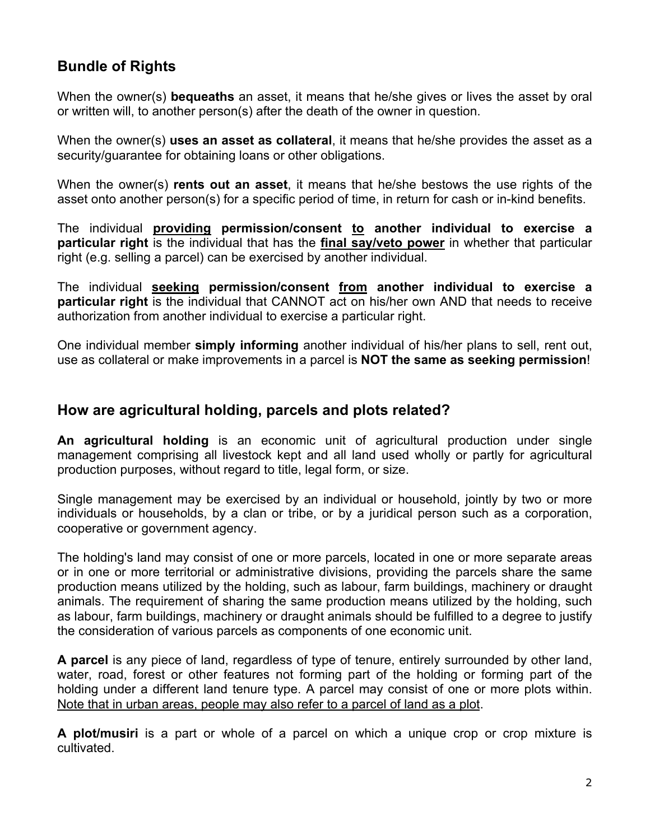# **Bundle of Rights**

When the owner(s) **bequeaths** an asset, it means that he/she gives or lives the asset by oral or written will, to another person(s) after the death of the owner in question.

When the owner(s) **uses an asset as collateral**, it means that he/she provides the asset as a security/guarantee for obtaining loans or other obligations.

When the owner(s) **rents out an asset**, it means that he/she bestows the use rights of the asset onto another person(s) for a specific period of time, in return for cash or in-kind benefits.

The individual **providing permission/consent to another individual to exercise a particular right** is the individual that has the **final say/veto power** in whether that particular right (e.g. selling a parcel) can be exercised by another individual.

The individual **seeking permission/consent from another individual to exercise a particular right** is the individual that CANNOT act on his/her own AND that needs to receive authorization from another individual to exercise a particular right.

One individual member **simply informing** another individual of his/her plans to sell, rent out, use as collateral or make improvements in a parcel is **NOT the same as seeking permission**!

### **How are agricultural holding, parcels and plots related?**

**An agricultural holding** is an economic unit of agricultural production under single management comprising all livestock kept and all land used wholly or partly for agricultural production purposes, without regard to title, legal form, or size.

Single management may be exercised by an individual or household, jointly by two or more individuals or households, by a clan or tribe, or by a juridical person such as a corporation, cooperative or government agency.

The holding's land may consist of one or more parcels, located in one or more separate areas or in one or more territorial or administrative divisions, providing the parcels share the same production means utilized by the holding, such as labour, farm buildings, machinery or draught animals. The requirement of sharing the same production means utilized by the holding, such as labour, farm buildings, machinery or draught animals should be fulfilled to a degree to justify the consideration of various parcels as components of one economic unit.

**A parcel** is any piece of land, regardless of type of tenure, entirely surrounded by other land, water, road, forest or other features not forming part of the holding or forming part of the holding under a different land tenure type. A parcel may consist of one or more plots within. Note that in urban areas, people may also refer to a parcel of land as a plot.

**A plot/musiri** is a part or whole of a parcel on which a unique crop or crop mixture is cultivated.